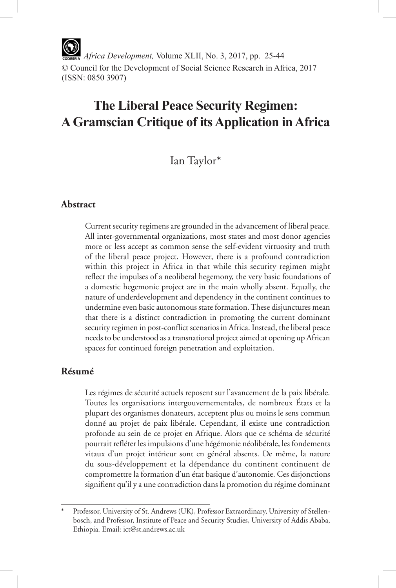*Africa Development,* Volume XLII, No. 3, 2017, pp. 25-44 © Council for the Development of Social Science Research in Africa, 2017 (ISSN: 0850 3907)

# **The Liberal Peace Security Regimen: A Gramscian Critique of its Application in Africa**

# Ian Taylor\*

# **Abstract**

Current security regimens are grounded in the advancement of liberal peace. All inter-governmental organizations, most states and most donor agencies more or less accept as common sense the self-evident virtuosity and truth of the liberal peace project. However, there is a profound contradiction within this project in Africa in that while this security regimen might reflect the impulses of a neoliberal hegemony, the very basic foundations of a domestic hegemonic project are in the main wholly absent. Equally, the nature of underdevelopment and dependency in the continent continues to undermine even basic autonomous state formation. These disjunctures mean that there is a distinct contradiction in promoting the current dominant security regimen in post-conflict scenarios in Africa. Instead, the liberal peace needs to be understood as a transnational project aimed at opening up African spaces for continued foreign penetration and exploitation.

# **Résumé**

Les régimes de sécurité actuels reposent sur l'avancement de la paix libérale. Toutes les organisations intergouvernementales, de nombreux États et la plupart des organismes donateurs, acceptent plus ou moins le sens commun donné au projet de paix libérale. Cependant, il existe une contradiction profonde au sein de ce projet en Afrique. Alors que ce schéma de sécurité pourrait refléter les impulsions d'une hégémonie néolibérale, les fondements vitaux d'un projet intérieur sont en général absents. De même, la nature du sous-développement et la dépendance du continent continuent de compromettre la formation d'un état basique d'autonomie. Ces disjonctions signifient qu'il y a une contradiction dans la promotion du régime dominant

Professor, University of St. Andrews (UK), Professor Extraordinary, University of Stellenbosch, and Professor, Institute of Peace and Security Studies, University of Addis Ababa, Ethiopia. Email: ict@st.andrews.ac.uk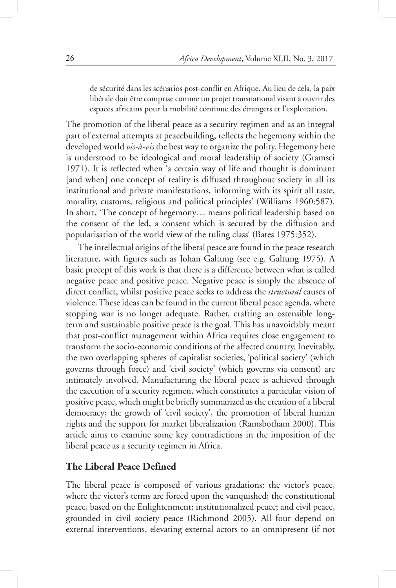de sécurité dans les scénarios post-conflit en Afrique. Au lieu de cela, la paix libérale doit être comprise comme un projet transnational visant à ouvrir des espaces africains pour la mobilité continue des étrangers et l'exploitation.

The promotion of the liberal peace as a security regimen and as an integral part of external attempts at peacebuilding, reflects the hegemony within the developed world *vis-à-vis* the best way to organize the polity. Hegemony here is understood to be ideological and moral leadership of society (Gramsci 1971). It is reflected when 'a certain way of life and thought is dominant [and when] one concept of reality is diffused throughout society in all its institutional and private manifestations, informing with its spirit all taste, morality, customs, religious and political principles' (Williams 1960:587). In short, 'The concept of hegemony… means political leadership based on the consent of the led, a consent which is secured by the diffusion and popularisation of the world view of the ruling class' (Bates 1975:352).

The intellectual origins of the liberal peace are found in the peace research literature, with figures such as Johan Galtung (see e.g. Galtung 1975). A basic precept of this work is that there is a difference between what is called negative peace and positive peace. Negative peace is simply the absence of direct conflict, whilst positive peace seeks to address the *structural* causes of violence. These ideas can be found in the current liberal peace agenda, where stopping war is no longer adequate. Rather, crafting an ostensible longterm and sustainable positive peace is the goal. This has unavoidably meant that post-conflict management within Africa requires close engagement to transform the socio-economic conditions of the affected country. Inevitably, the two overlapping spheres of capitalist societies, 'political society' (which governs through force) and 'civil society' (which governs via consent) are intimately involved. Manufacturing the liberal peace is achieved through the execution of a security regimen, which constitutes a particular vision of positive peace, which might be briefly summarized as the creation of a liberal democracy; the growth of 'civil society', the promotion of liberal human rights and the support for market liberalization (Ramsbotham 2000). This article aims to examine some key contradictions in the imposition of the liberal peace as a security regimen in Africa.

# **The Liberal Peace Defined**

The liberal peace is composed of various gradations: the victor's peace, where the victor's terms are forced upon the vanquished; the constitutional peace, based on the Enlightenment; institutionalized peace; and civil peace, grounded in civil society peace (Richmond 2005). All four depend on external interventions, elevating external actors to an omnipresent (if not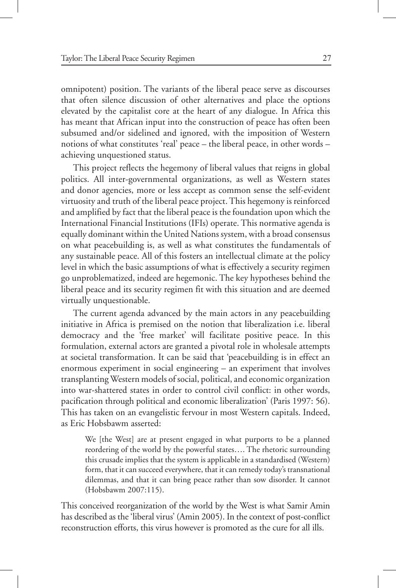omnipotent) position. The variants of the liberal peace serve as discourses that often silence discussion of other alternatives and place the options elevated by the capitalist core at the heart of any dialogue. In Africa this has meant that African input into the construction of peace has often been subsumed and/or sidelined and ignored, with the imposition of Western notions of what constitutes 'real' peace – the liberal peace, in other words – achieving unquestioned status.

This project reflects the hegemony of liberal values that reigns in global politics. All inter-governmental organizations, as well as Western states and donor agencies, more or less accept as common sense the self-evident virtuosity and truth of the liberal peace project. This hegemony is reinforced and amplified by fact that the liberal peace is the foundation upon which the International Financial Institutions (IFIs) operate. This normative agenda is equally dominant within the United Nations system, with a broad consensus on what peacebuilding is, as well as what constitutes the fundamentals of any sustainable peace. All of this fosters an intellectual climate at the policy level in which the basic assumptions of what is effectively a security regimen go unproblematized, indeed are hegemonic. The key hypotheses behind the liberal peace and its security regimen fit with this situation and are deemed virtually unquestionable.

The current agenda advanced by the main actors in any peacebuilding initiative in Africa is premised on the notion that liberalization i.e. liberal democracy and the 'free market' will facilitate positive peace. In this formulation, external actors are granted a pivotal role in wholesale attempts at societal transformation. It can be said that 'peacebuilding is in effect an enormous experiment in social engineering – an experiment that involves transplanting Western models of social, political, and economic organization into war-shattered states in order to control civil conflict: in other words, pacification through political and economic liberalization' (Paris 1997: 56). This has taken on an evangelistic fervour in most Western capitals. Indeed, as Eric Hobsbawm asserted:

We [the West] are at present engaged in what purports to be a planned reordering of the world by the powerful states…. The rhetoric surrounding this crusade implies that the system is applicable in a standardised (Western) form, that it can succeed everywhere, that it can remedy today's transnational dilemmas, and that it can bring peace rather than sow disorder. It cannot (Hobsbawm 2007:115).

This conceived reorganization of the world by the West is what Samir Amin has described as the 'liberal virus' (Amin 2005). In the context of post-conflict reconstruction efforts, this virus however is promoted as the cure for all ills.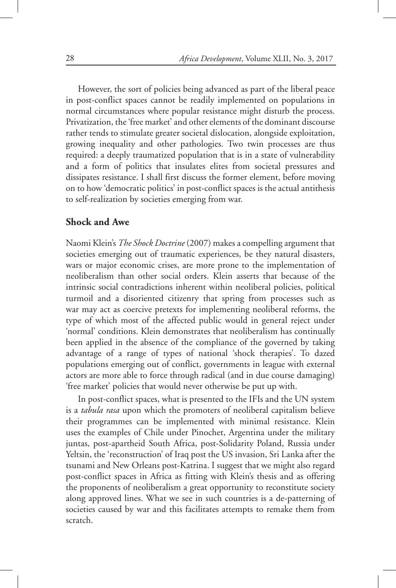However, the sort of policies being advanced as part of the liberal peace in post-conflict spaces cannot be readily implemented on populations in normal circumstances where popular resistance might disturb the process. Privatization, the 'free market' and other elements of the dominant discourse rather tends to stimulate greater societal dislocation, alongside exploitation, growing inequality and other pathologies. Two twin processes are thus required: a deeply traumatized population that is in a state of vulnerability and a form of politics that insulates elites from societal pressures and dissipates resistance. I shall first discuss the former element, before moving on to how 'democratic politics' in post-conflict spaces is the actual antithesis to self-realization by societies emerging from war.

#### **Shock and Awe**

Naomi Klein's *The Shock Doctrine* (2007) makes a compelling argument that societies emerging out of traumatic experiences, be they natural disasters, wars or major economic crises, are more prone to the implementation of neoliberalism than other social orders. Klein asserts that because of the intrinsic social contradictions inherent within neoliberal policies, political turmoil and a disoriented citizenry that spring from processes such as war may act as coercive pretexts for implementing neoliberal reforms, the type of which most of the affected public would in general reject under 'normal' conditions. Klein demonstrates that neoliberalism has continually been applied in the absence of the compliance of the governed by taking advantage of a range of types of national 'shock therapies'. To dazed populations emerging out of conflict, governments in league with external actors are more able to force through radical (and in due course damaging) 'free market' policies that would never otherwise be put up with.

In post-conflict spaces, what is presented to the IFIs and the UN system is a *tabula rasa* upon which the promoters of neoliberal capitalism believe their programmes can be implemented with minimal resistance. Klein uses the examples of Chile under Pinochet, Argentina under the military juntas, post-apartheid South Africa, post-Solidarity Poland, Russia under Yeltsin, the 'reconstruction' of Iraq post the US invasion, Sri Lanka after the tsunami and New Orleans post-Katrina. I suggest that we might also regard post-conflict spaces in Africa as fitting with Klein's thesis and as offering the proponents of neoliberalism a great opportunity to reconstitute society along approved lines. What we see in such countries is a de-patterning of societies caused by war and this facilitates attempts to remake them from scratch.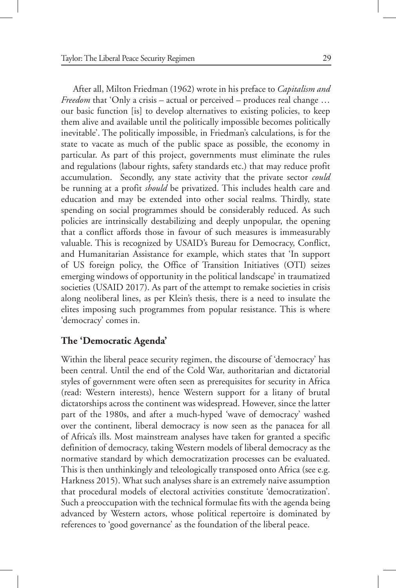After all, Milton Friedman (1962) wrote in his preface to *Capitalism and Freedom* that 'Only a crisis – actual or perceived – produces real change ... our basic function [is] to develop alternatives to existing policies, to keep them alive and available until the politically impossible becomes politically inevitable'. The politically impossible, in Friedman's calculations, is for the state to vacate as much of the public space as possible, the economy in particular. As part of this project, governments must eliminate the rules and regulations (labour rights, safety standards etc.) that may reduce profit accumulation. Secondly, any state activity that the private sector *could* be running at a profit *should* be privatized. This includes health care and education and may be extended into other social realms. Thirdly, state spending on social programmes should be considerably reduced. As such policies are intrinsically destabilizing and deeply unpopular, the opening that a conflict affords those in favour of such measures is immeasurably valuable. This is recognized by USAID's Bureau for Democracy, Conflict, and Humanitarian Assistance for example, which states that 'In support of US foreign policy, the Office of Transition Initiatives (OTI) seizes emerging windows of opportunity in the political landscape' in traumatized societies (USAID 2017). As part of the attempt to remake societies in crisis along neoliberal lines, as per Klein's thesis, there is a need to insulate the elites imposing such programmes from popular resistance. This is where 'democracy' comes in.

# **The 'Democratic Agenda'**

Within the liberal peace security regimen, the discourse of 'democracy' has been central. Until the end of the Cold War, authoritarian and dictatorial styles of government were often seen as prerequisites for security in Africa (read: Western interests), hence Western support for a litany of brutal dictatorships across the continent was widespread. However, since the latter part of the 1980s, and after a much-hyped 'wave of democracy' washed over the continent, liberal democracy is now seen as the panacea for all of Africa's ills. Most mainstream analyses have taken for granted a specific definition of democracy, taking Western models of liberal democracy as the normative standard by which democratization processes can be evaluated. This is then unthinkingly and teleologically transposed onto Africa (see e.g. Harkness 2015). What such analyses share is an extremely naive assumption that procedural models of electoral activities constitute 'democratization'. Such a preoccupation with the technical formulae fits with the agenda being advanced by Western actors, whose political repertoire is dominated by references to 'good governance' as the foundation of the liberal peace.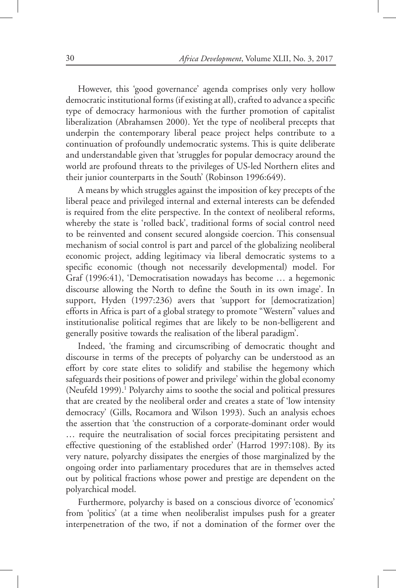However, this 'good governance' agenda comprises only very hollow democratic institutional forms (if existing at all), crafted to advance a specific type of democracy harmonious with the further promotion of capitalist liberalization (Abrahamsen 2000). Yet the type of neoliberal precepts that underpin the contemporary liberal peace project helps contribute to a continuation of profoundly undemocratic systems. This is quite deliberate and understandable given that 'struggles for popular democracy around the world are profound threats to the privileges of US-led Northern elites and their junior counterparts in the South' (Robinson 1996:649).

A means by which struggles against the imposition of key precepts of the liberal peace and privileged internal and external interests can be defended is required from the elite perspective. In the context of neoliberal reforms, whereby the state is 'rolled back', traditional forms of social control need to be reinvented and consent secured alongside coercion. This consensual mechanism of social control is part and parcel of the globalizing neoliberal economic project, adding legitimacy via liberal democratic systems to a specific economic (though not necessarily developmental) model. For Graf (1996:41), 'Democratisation nowadays has become … a hegemonic discourse allowing the North to define the South in its own image'. In support, Hyden (1997:236) avers that 'support for [democratization] efforts in Africa is part of a global strategy to promote "Western" values and institutionalise political regimes that are likely to be non-belligerent and generally positive towards the realisation of the liberal paradigm'.

Indeed, 'the framing and circumscribing of democratic thought and discourse in terms of the precepts of polyarchy can be understood as an effort by core state elites to solidify and stabilise the hegemony which safeguards their positions of power and privilege' within the global economy (Neufeld 1999).<sup>1</sup> Polyarchy aims to soothe the social and political pressures that are created by the neoliberal order and creates a state of 'low intensity democracy' (Gills, Rocamora and Wilson 1993). Such an analysis echoes the assertion that 'the construction of a corporate-dominant order would … require the neutralisation of social forces precipitating persistent and effective questioning of the established order' (Harrod 1997:108). By its very nature, polyarchy dissipates the energies of those marginalized by the ongoing order into parliamentary procedures that are in themselves acted out by political fractions whose power and prestige are dependent on the polyarchical model.

Furthermore, polyarchy is based on a conscious divorce of 'economics' from 'politics' (at a time when neoliberalist impulses push for a greater interpenetration of the two, if not a domination of the former over the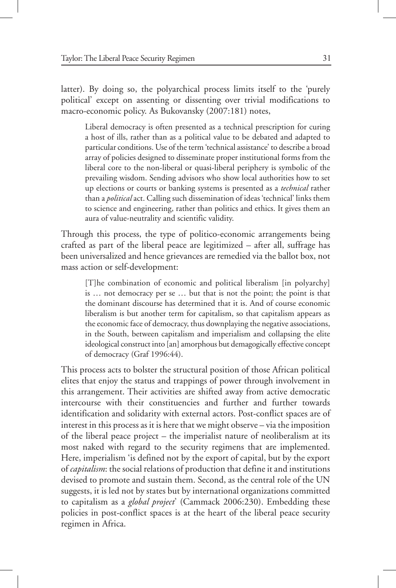latter). By doing so, the polyarchical process limits itself to the 'purely political' except on assenting or dissenting over trivial modifications to macro-economic policy. As Bukovansky (2007:181) notes,

Liberal democracy is often presented as a technical prescription for curing a host of ills, rather than as a political value to be debated and adapted to particular conditions. Use of the term 'technical assistance' to describe a broad array of policies designed to disseminate proper institutional forms from the liberal core to the non-liberal or quasi-liberal periphery is symbolic of the prevailing wisdom. Sending advisors who show local authorities how to set up elections or courts or banking systems is presented as a *technical* rather than a *political* act. Calling such dissemination of ideas 'technical' links them to science and engineering, rather than politics and ethics. It gives them an aura of value-neutrality and scientific validity.

Through this process, the type of politico-economic arrangements being crafted as part of the liberal peace are legitimized – after all, suffrage has been universalized and hence grievances are remedied via the ballot box, not mass action or self-development:

[T]he combination of economic and political liberalism [in polyarchy] is … not democracy per se … but that is not the point; the point is that the dominant discourse has determined that it is. And of course economic liberalism is but another term for capitalism, so that capitalism appears as the economic face of democracy, thus downplaying the negative associations, in the South, between capitalism and imperialism and collapsing the elite ideological construct into [an] amorphous but demagogically effective concept of democracy (Graf 1996:44).

This process acts to bolster the structural position of those African political elites that enjoy the status and trappings of power through involvement in this arrangement. Their activities are shifted away from active democratic intercourse with their constituencies and further and further towards identification and solidarity with external actors. Post-conflict spaces are of interest in this process as it is here that we might observe – via the imposition of the liberal peace project – the imperialist nature of neoliberalism at its most naked with regard to the security regimens that are implemented. Here, imperialism 'is defined not by the export of capital, but by the export of *capitalism*: the social relations of production that define it and institutions devised to promote and sustain them. Second, as the central role of the UN suggests, it is led not by states but by international organizations committed to capitalism as a *global project*' (Cammack 2006:230). Embedding these policies in post-conflict spaces is at the heart of the liberal peace security regimen in Africa.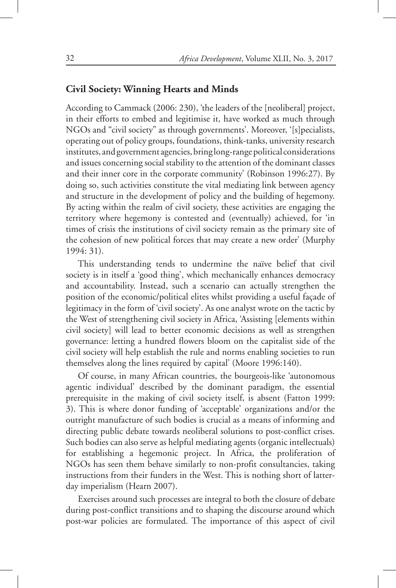#### **Civil Society: Winning Hearts and Minds**

According to Cammack (2006: 230), 'the leaders of the [neoliberal] project, in their efforts to embed and legitimise it, have worked as much through NGOs and "civil society" as through governments'. Moreover, '[s]pecialists, operating out of policy groups, foundations, think-tanks, university research institutes, and government agencies, bring long-range political considerations and issues concerning social stability to the attention of the dominant classes and their inner core in the corporate community' (Robinson 1996:27). By doing so, such activities constitute the vital mediating link between agency and structure in the development of policy and the building of hegemony. By acting within the realm of civil society, these activities are engaging the territory where hegemony is contested and (eventually) achieved, for 'in times of crisis the institutions of civil society remain as the primary site of the cohesion of new political forces that may create a new order' (Murphy 1994: 31).

This understanding tends to undermine the naïve belief that civil society is in itself a 'good thing', which mechanically enhances democracy and accountability. Instead, such a scenario can actually strengthen the position of the economic/political elites whilst providing a useful façade of legitimacy in the form of 'civil society'. As one analyst wrote on the tactic by the West of strengthening civil society in Africa, 'Assisting [elements within civil society] will lead to better economic decisions as well as strengthen governance: letting a hundred flowers bloom on the capitalist side of the civil society will help establish the rule and norms enabling societies to run themselves along the lines required by capital' (Moore 1996:140).

Of course, in many African countries, the bourgeois-like 'autonomous agentic individual' described by the dominant paradigm, the essential prerequisite in the making of civil society itself, is absent (Fatton 1999: 3). This is where donor funding of 'acceptable' organizations and/or the outright manufacture of such bodies is crucial as a means of informing and directing public debate towards neoliberal solutions to post-conflict crises. Such bodies can also serve as helpful mediating agents (organic intellectuals) for establishing a hegemonic project. In Africa, the proliferation of NGOs has seen them behave similarly to non-profit consultancies, taking instructions from their funders in the West. This is nothing short of latterday imperialism (Hearn 2007).

Exercises around such processes are integral to both the closure of debate during post-conflict transitions and to shaping the discourse around which post-war policies are formulated. The importance of this aspect of civil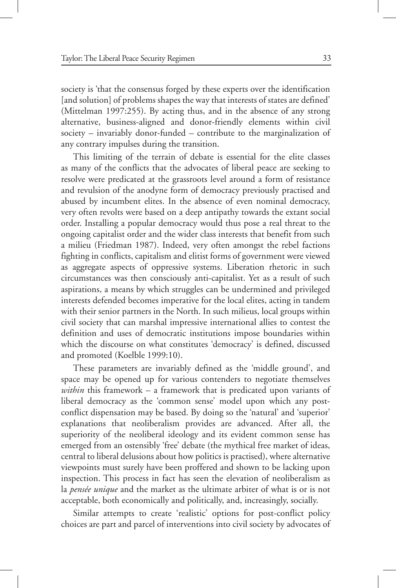society is 'that the consensus forged by these experts over the identification [and solution] of problems shapes the way that interests of states are defined' (Mittelman 1997:255). By acting thus, and in the absence of any strong alternative, business-aligned and donor-friendly elements within civil society – invariably donor-funded – contribute to the marginalization of any contrary impulses during the transition.

This limiting of the terrain of debate is essential for the elite classes as many of the conflicts that the advocates of liberal peace are seeking to resolve were predicated at the grassroots level around a form of resistance and revulsion of the anodyne form of democracy previously practised and abused by incumbent elites. In the absence of even nominal democracy, very often revolts were based on a deep antipathy towards the extant social order. Installing a popular democracy would thus pose a real threat to the ongoing capitalist order and the wider class interests that benefit from such a milieu (Friedman 1987). Indeed, very often amongst the rebel factions fighting in conflicts, capitalism and elitist forms of government were viewed as aggregate aspects of oppressive systems. Liberation rhetoric in such circumstances was then consciously anti-capitalist. Yet as a result of such aspirations, a means by which struggles can be undermined and privileged interests defended becomes imperative for the local elites, acting in tandem with their senior partners in the North. In such milieus, local groups within civil society that can marshal impressive international allies to contest the definition and uses of democratic institutions impose boundaries within which the discourse on what constitutes 'democracy' is defined, discussed and promoted (Koelble 1999:10).

These parameters are invariably defined as the 'middle ground', and space may be opened up for various contenders to negotiate themselves *within* this framework – a framework that is predicated upon variants of liberal democracy as the 'common sense' model upon which any postconflict dispensation may be based. By doing so the 'natural' and 'superior' explanations that neoliberalism provides are advanced. After all, the superiority of the neoliberal ideology and its evident common sense has emerged from an ostensibly 'free' debate (the mythical free market of ideas, central to liberal delusions about how politics is practised), where alternative viewpoints must surely have been proffered and shown to be lacking upon inspection. This process in fact has seen the elevation of neoliberalism as la *pensée unique* and the market as the ultimate arbiter of what is or is not acceptable, both economically and politically, and, increasingly, socially.

Similar attempts to create 'realistic' options for post-conflict policy choices are part and parcel of interventions into civil society by advocates of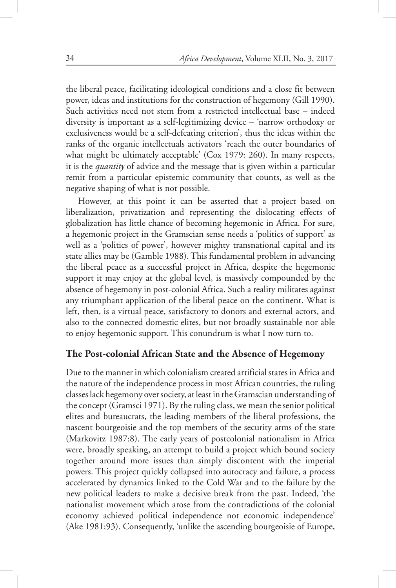the liberal peace, facilitating ideological conditions and a close fit between power, ideas and institutions for the construction of hegemony (Gill 1990). Such activities need not stem from a restricted intellectual base – indeed diversity is important as a self-legitimizing device – 'narrow orthodoxy or exclusiveness would be a self-defeating criterion', thus the ideas within the ranks of the organic intellectuals activators 'reach the outer boundaries of what might be ultimately acceptable' (Cox 1979: 260). In many respects, it is the *quantity* of advice and the message that is given within a particular remit from a particular epistemic community that counts, as well as the negative shaping of what is not possible.

However, at this point it can be asserted that a project based on liberalization, privatization and representing the dislocating effects of globalization has little chance of becoming hegemonic in Africa. For sure, a hegemonic project in the Gramscian sense needs a 'politics of support' as well as a 'politics of power', however mighty transnational capital and its state allies may be (Gamble 1988). This fundamental problem in advancing the liberal peace as a successful project in Africa, despite the hegemonic support it may enjoy at the global level, is massively compounded by the absence of hegemony in post-colonial Africa. Such a reality militates against any triumphant application of the liberal peace on the continent. What is left, then, is a virtual peace, satisfactory to donors and external actors, and also to the connected domestic elites, but not broadly sustainable nor able to enjoy hegemonic support. This conundrum is what I now turn to.

### **The Post-colonial African State and the Absence of Hegemony**

Due to the manner in which colonialism created artificial states in Africa and the nature of the independence process in most African countries, the ruling classes lack hegemony over society, at least in the Gramscian understanding of the concept (Gramsci 1971). By the ruling class, we mean the senior political elites and bureaucrats, the leading members of the liberal professions, the nascent bourgeoisie and the top members of the security arms of the state (Markovitz 1987:8). The early years of postcolonial nationalism in Africa were, broadly speaking, an attempt to build a project which bound society together around more issues than simply discontent with the imperial powers. This project quickly collapsed into autocracy and failure, a process accelerated by dynamics linked to the Cold War and to the failure by the new political leaders to make a decisive break from the past. Indeed, 'the nationalist movement which arose from the contradictions of the colonial economy achieved political independence not economic independence' (Ake 1981:93). Consequently, 'unlike the ascending bourgeoisie of Europe,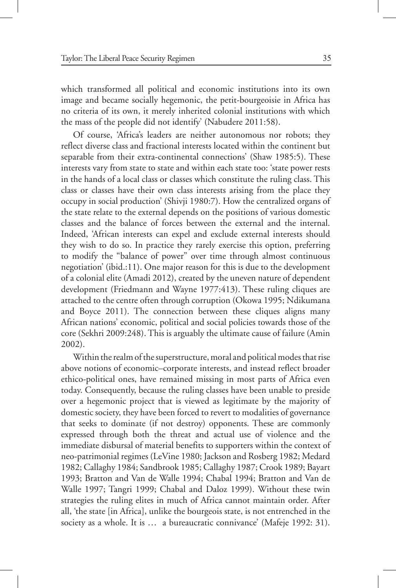which transformed all political and economic institutions into its own image and became socially hegemonic, the petit-bourgeoisie in Africa has no criteria of its own, it merely inherited colonial institutions with which the mass of the people did not identify' (Nabudere 2011:58).

Of course, 'Africa's leaders are neither autonomous nor robots; they reflect diverse class and fractional interests located within the continent but separable from their extra-continental connections' (Shaw 1985:5). These interests vary from state to state and within each state too: 'state power rests in the hands of a local class or classes which constitute the ruling class. This class or classes have their own class interests arising from the place they occupy in social production' (Shivji 1980:7). How the centralized organs of the state relate to the external depends on the positions of various domestic classes and the balance of forces between the external and the internal. Indeed, 'African interests can expel and exclude external interests should they wish to do so. In practice they rarely exercise this option, preferring to modify the "balance of power" over time through almost continuous negotiation' (ibid.:11). One major reason for this is due to the development of a colonial elite (Amadi 2012), created by the uneven nature of dependent development (Friedmann and Wayne 1977:413). These ruling cliques are attached to the centre often through corruption (Okowa 1995; Ndikumana and Boyce 2011). The connection between these cliques aligns many African nations' economic, political and social policies towards those of the core (Sekhri 2009:248). This is arguably the ultimate cause of failure (Amin 2002).

Within the realm of the superstructure, moral and political modes that rise above notions of economic–corporate interests, and instead reflect broader ethico-political ones, have remained missing in most parts of Africa even today. Consequently, because the ruling classes have been unable to preside over a hegemonic project that is viewed as legitimate by the majority of domestic society, they have been forced to revert to modalities of governance that seeks to dominate (if not destroy) opponents. These are commonly expressed through both the threat and actual use of violence and the immediate disbursal of material benefits to supporters within the context of neo-patrimonial regimes (LeVine 1980; Jackson and Rosberg 1982; Medard 1982; Callaghy 1984; Sandbrook 1985; Callaghy 1987; Crook 1989; Bayart 1993; Bratton and Van de Walle 1994; Chabal 1994; Bratton and Van de Walle 1997; Tangri 1999; Chabal and Daloz 1999). Without these twin strategies the ruling elites in much of Africa cannot maintain order. After all, 'the state [in Africa], unlike the bourgeois state, is not entrenched in the society as a whole. It is ... a bureaucratic connivance' (Mafeje 1992: 31).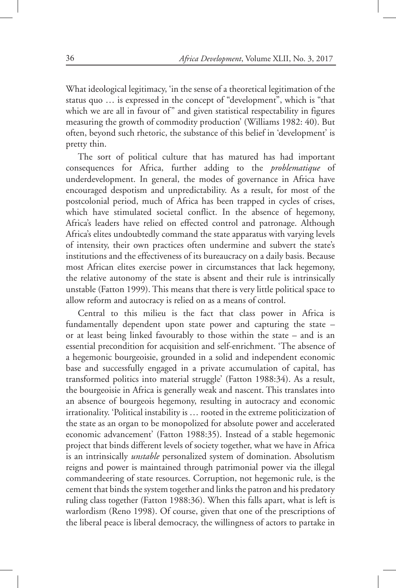What ideological legitimacy, 'in the sense of a theoretical legitimation of the status quo … is expressed in the concept of "development", which is "that which we are all in favour of" and given statistical respectability in figures measuring the growth of commodity production' (Williams 1982: 40). But often, beyond such rhetoric, the substance of this belief in 'development' is pretty thin.

The sort of political culture that has matured has had important consequences for Africa, further adding to the *problematique* of underdevelopment. In general, the modes of governance in Africa have encouraged despotism and unpredictability. As a result, for most of the postcolonial period, much of Africa has been trapped in cycles of crises, which have stimulated societal conflict. In the absence of hegemony, Africa's leaders have relied on effected control and patronage. Although Africa's elites undoubtedly command the state apparatus with varying levels of intensity, their own practices often undermine and subvert the state's institutions and the effectiveness of its bureaucracy on a daily basis. Because most African elites exercise power in circumstances that lack hegemony, the relative autonomy of the state is absent and their rule is intrinsically unstable (Fatton 1999). This means that there is very little political space to allow reform and autocracy is relied on as a means of control.

Central to this milieu is the fact that class power in Africa is fundamentally dependent upon state power and capturing the state – or at least being linked favourably to those within the state – and is an essential precondition for acquisition and self-enrichment. 'The absence of a hegemonic bourgeoisie, grounded in a solid and independent economic base and successfully engaged in a private accumulation of capital, has transformed politics into material struggle' (Fatton 1988:34). As a result, the bourgeoisie in Africa is generally weak and nascent. This translates into an absence of bourgeois hegemony, resulting in autocracy and economic irrationality. 'Political instability is … rooted in the extreme politicization of the state as an organ to be monopolized for absolute power and accelerated economic advancement' (Fatton 1988:35). Instead of a stable hegemonic project that binds different levels of society together, what we have in Africa is an intrinsically *unstable* personalized system of domination. Absolutism reigns and power is maintained through patrimonial power via the illegal commandeering of state resources. Corruption, not hegemonic rule, is the cement that binds the system together and links the patron and his predatory ruling class together (Fatton 1988:36). When this falls apart, what is left is warlordism (Reno 1998). Of course, given that one of the prescriptions of the liberal peace is liberal democracy, the willingness of actors to partake in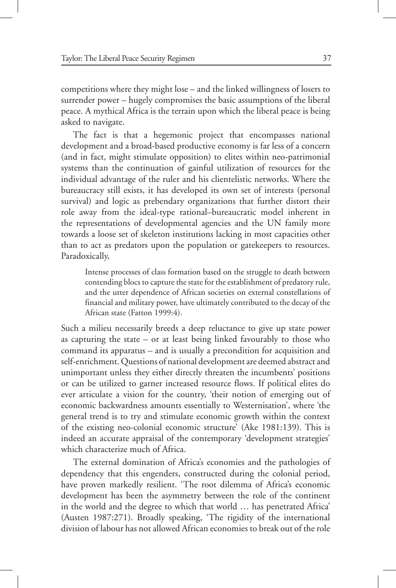competitions where they might lose – and the linked willingness of losers to surrender power – hugely compromises the basic assumptions of the liberal peace. A mythical Africa is the terrain upon which the liberal peace is being asked to navigate.

The fact is that a hegemonic project that encompasses national development and a broad-based productive economy is far less of a concern (and in fact, might stimulate opposition) to elites within neo-patrimonial systems than the continuation of gainful utilization of resources for the individual advantage of the ruler and his clientelistic networks. Where the bureaucracy still exists, it has developed its own set of interests (personal survival) and logic as prebendary organizations that further distort their role away from the ideal-type rational–bureaucratic model inherent in the representations of developmental agencies and the UN family more towards a loose set of skeleton institutions lacking in most capacities other than to act as predators upon the population or gatekeepers to resources. Paradoxically,

Intense processes of class formation based on the struggle to death between contending blocs to capture the state for the establishment of predatory rule, and the utter dependence of African societies on external constellations of financial and military power, have ultimately contributed to the decay of the African state (Fatton 1999:4).

Such a milieu necessarily breeds a deep reluctance to give up state power as capturing the state – or at least being linked favourably to those who command its apparatus – and is usually a precondition for acquisition and self-enrichment. Questions of national development are deemed abstract and unimportant unless they either directly threaten the incumbents' positions or can be utilized to garner increased resource flows. If political elites do ever articulate a vision for the country, 'their notion of emerging out of economic backwardness amounts essentially to Westernisation', where 'the general trend is to try and stimulate economic growth within the context of the existing neo-colonial economic structure' (Ake 1981:139). This is indeed an accurate appraisal of the contemporary 'development strategies' which characterize much of Africa.

The external domination of Africa's economies and the pathologies of dependency that this engenders, constructed during the colonial period, have proven markedly resilient. 'The root dilemma of Africa's economic development has been the asymmetry between the role of the continent in the world and the degree to which that world … has penetrated Africa' (Austen 1987:271). Broadly speaking, 'The rigidity of the international division of labour has not allowed African economies to break out of the role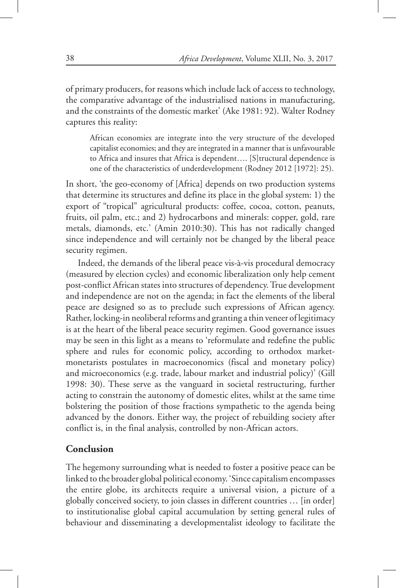of primary producers, for reasons which include lack of access to technology, the comparative advantage of the industrialised nations in manufacturing, and the constraints of the domestic market' (Ake 1981: 92). Walter Rodney captures this reality:

African economies are integrate into the very structure of the developed capitalist economies; and they are integrated in a manner that is unfavourable to Africa and insures that Africa is dependent…. [S]tructural dependence is one of the characteristics of underdevelopment (Rodney 2012 [1972]: 25).

In short, 'the geo-economy of [Africa] depends on two production systems that determine its structures and define its place in the global system: 1) the export of "tropical" agricultural products: coffee, cocoa, cotton, peanuts, fruits, oil palm, etc.; and 2) hydrocarbons and minerals: copper, gold, rare metals, diamonds, etc.' (Amin 2010:30). This has not radically changed since independence and will certainly not be changed by the liberal peace security regimen.

Indeed, the demands of the liberal peace vis-à-vis procedural democracy (measured by election cycles) and economic liberalization only help cement post-conflict African states into structures of dependency. True development and independence are not on the agenda; in fact the elements of the liberal peace are designed so as to preclude such expressions of African agency. Rather, locking-in neoliberal reforms and granting a thin veneer of legitimacy is at the heart of the liberal peace security regimen. Good governance issues may be seen in this light as a means to 'reformulate and redefine the public sphere and rules for economic policy, according to orthodox marketmonetarists postulates in macroeconomics (fiscal and monetary policy) and microeconomics (e.g. trade, labour market and industrial policy)' (Gill 1998: 30). These serve as the vanguard in societal restructuring, further acting to constrain the autonomy of domestic elites, whilst at the same time bolstering the position of those fractions sympathetic to the agenda being advanced by the donors. Either way, the project of rebuilding society after conflict is, in the final analysis, controlled by non-African actors.

#### **Conclusion**

The hegemony surrounding what is needed to foster a positive peace can be linked to the broader global political economy. 'Since capitalism encompasses the entire globe, its architects require a universal vision, a picture of a globally conceived society, to join classes in different countries … [in order] to institutionalise global capital accumulation by setting general rules of behaviour and disseminating a developmentalist ideology to facilitate the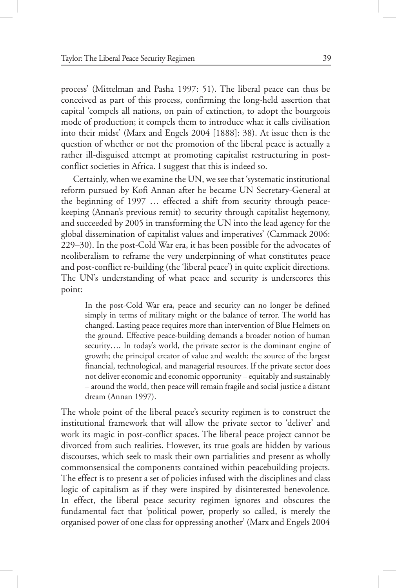process' (Mittelman and Pasha 1997: 51). The liberal peace can thus be conceived as part of this process, confirming the long-held assertion that capital 'compels all nations, on pain of extinction, to adopt the bourgeois mode of production; it compels them to introduce what it calls civilisation into their midst' (Marx and Engels 2004 [1888]: 38). At issue then is the question of whether or not the promotion of the liberal peace is actually a rather ill-disguised attempt at promoting capitalist restructuring in postconflict societies in Africa. I suggest that this is indeed so.

Certainly, when we examine the UN, we see that 'systematic institutional reform pursued by Kofi Annan after he became UN Secretary-General at the beginning of 1997 … effected a shift from security through peacekeeping (Annan's previous remit) to security through capitalist hegemony, and succeeded by 2005 in transforming the UN into the lead agency for the global dissemination of capitalist values and imperatives' (Cammack 2006: 229–30). In the post-Cold War era, it has been possible for the advocates of neoliberalism to reframe the very underpinning of what constitutes peace and post-conflict re-building (the 'liberal peace') in quite explicit directions. The UN's understanding of what peace and security is underscores this point:

In the post-Cold War era, peace and security can no longer be defined simply in terms of military might or the balance of terror. The world has changed. Lasting peace requires more than intervention of Blue Helmets on the ground. Effective peace-building demands a broader notion of human security…. In today's world, the private sector is the dominant engine of growth; the principal creator of value and wealth; the source of the largest financial, technological, and managerial resources. If the private sector does not deliver economic and economic opportunity – equitably and sustainably – around the world, then peace will remain fragile and social justice a distant dream (Annan 1997).

The whole point of the liberal peace's security regimen is to construct the institutional framework that will allow the private sector to 'deliver' and work its magic in post-conflict spaces. The liberal peace project cannot be divorced from such realities. However, its true goals are hidden by various discourses, which seek to mask their own partialities and present as wholly commonsensical the components contained within peacebuilding projects. The effect is to present a set of policies infused with the disciplines and class logic of capitalism as if they were inspired by disinterested benevolence. In effect, the liberal peace security regimen ignores and obscures the fundamental fact that 'political power, properly so called, is merely the organised power of one class for oppressing another' (Marx and Engels 2004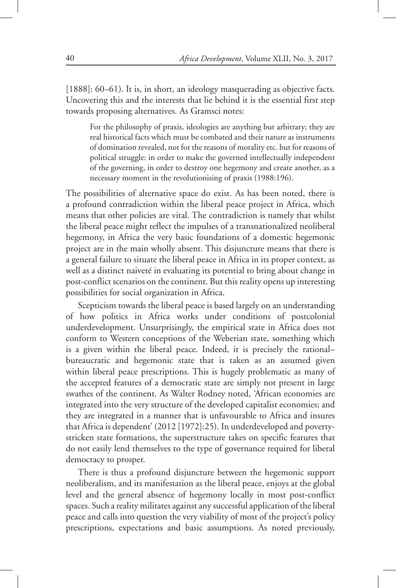[1888]: 60–61). It is, in short, an ideology masquerading as objective facts. Uncovering this and the interests that lie behind it is the essential first step towards proposing alternatives. As Gramsci notes:

For the philosophy of praxis, ideologies are anything but arbitrary; they are real historical facts which must be combated and their nature as instruments of domination revealed, not for the reasons of morality etc. but for reasons of political struggle: in order to make the governed intellectually independent of the governing, in order to destroy one hegemony and create another, as a necessary moment in the revolutionising of praxis (1988:196).

The possibilities of alternative space do exist. As has been noted, there is a profound contradiction within the liberal peace project in Africa, which means that other policies are vital. The contradiction is namely that whilst the liberal peace might reflect the impulses of a transnationalized neoliberal hegemony, in Africa the very basic foundations of a domestic hegemonic project are in the main wholly absent. This disjuncture means that there is a general failure to situate the liberal peace in Africa in its proper context, as well as a distinct naiveté in evaluating its potential to bring about change in post-conflict scenarios on the continent. But this reality opens up interesting possibilities for social organization in Africa.

Scepticism towards the liberal peace is based largely on an understanding of how politics in Africa works under conditions of postcolonial underdevelopment. Unsurprisingly, the empirical state in Africa does not conform to Western conceptions of the Weberian state, something which is a given within the liberal peace. Indeed, it is precisely the rational– bureaucratic and hegemonic state that is taken as an assumed given within liberal peace prescriptions. This is hugely problematic as many of the accepted features of a democratic state are simply not present in large swathes of the continent. As Walter Rodney noted, 'African economies are integrated into the very structure of the developed capitalist economies; and they are integrated in a manner that is unfavourable to Africa and insures that Africa is dependent' (2012 [1972]:25). In underdeveloped and povertystricken state formations, the superstructure takes on specific features that do not easily lend themselves to the type of governance required for liberal democracy to prosper.

There is thus a profound disjuncture between the hegemonic support neoliberalism, and its manifestation as the liberal peace, enjoys at the global level and the general absence of hegemony locally in most post-conflict spaces. Such a reality militates against any successful application of the liberal peace and calls into question the very viability of most of the project's policy prescriptions, expectations and basic assumptions. As noted previously,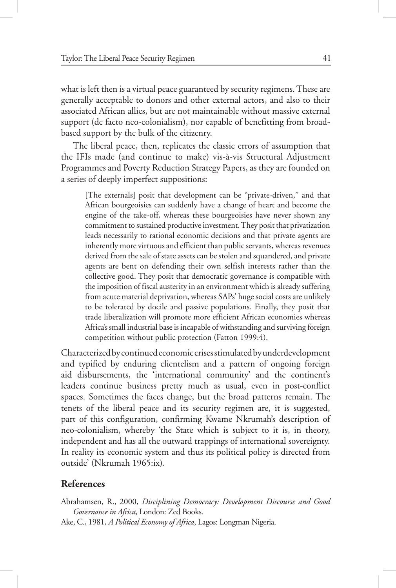what is left then is a virtual peace guaranteed by security regimens. These are generally acceptable to donors and other external actors, and also to their associated African allies, but are not maintainable without massive external support (de facto neo-colonialism), nor capable of benefitting from broadbased support by the bulk of the citizenry.

The liberal peace, then, replicates the classic errors of assumption that the IFIs made (and continue to make) vis-à-vis Structural Adjustment Programmes and Poverty Reduction Strategy Papers, as they are founded on a series of deeply imperfect suppositions:

[The externals] posit that development can be "private-driven," and that African bourgeoisies can suddenly have a change of heart and become the engine of the take-off, whereas these bourgeoisies have never shown any commitment to sustained productive investment. They posit that privatization leads necessarily to rational economic decisions and that private agents are inherently more virtuous and efficient than public servants, whereas revenues derived from the sale of state assets can be stolen and squandered, and private agents are bent on defending their own selfish interests rather than the collective good. They posit that democratic governance is compatible with the imposition of fiscal austerity in an environment which is already suffering from acute material deprivation, whereas SAPs' huge social costs are unlikely to be tolerated by docile and passive populations. Finally, they posit that trade liberalization will promote more efficient African economies whereas Africa's small industrial base is incapable of withstanding and surviving foreign competition without public protection (Fatton 1999:4).

Characterized by continued economic crises stimulated by underdevelopment and typified by enduring clientelism and a pattern of ongoing foreign aid disbursements, the 'international community' and the continent's leaders continue business pretty much as usual, even in post-conflict spaces. Sometimes the faces change, but the broad patterns remain. The tenets of the liberal peace and its security regimen are, it is suggested, part of this configuration, confirming Kwame Nkrumah's description of neo-colonialism, whereby 'the State which is subject to it is, in theory, independent and has all the outward trappings of international sovereignty. In reality its economic system and thus its political policy is directed from outside' (Nkrumah 1965:ix).

#### **References**

Abrahamsen, R., 2000, *Disciplining Democracy: Development Discourse and Good Governance in Africa*, London: Zed Books. Ake, C., 1981, *A Political Economy of Africa*, Lagos: Longman Nigeria.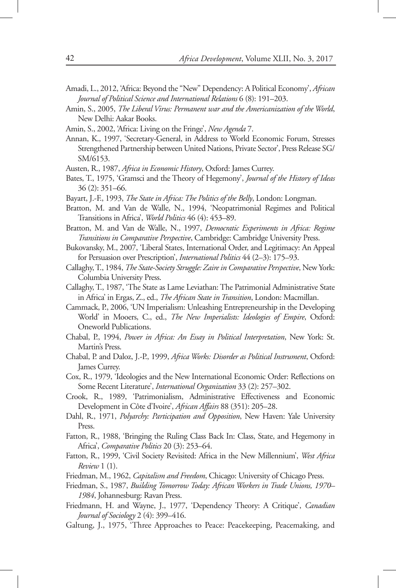- Amadi, L., 2012, 'Africa: Beyond the "New" Dependency: A Political Economy', *African Journal of Political Science and International Relations* 6 (8): 191–203.
- Amin, S., 2005, *The Liberal Virus: Permanent war and the Americanization of the World*, New Delhi: Aakar Books.
- Amin, S., 2002, 'Africa: Living on the Fringe', *New Agenda* 7.
- Annan, K., 1997, 'Secretary-General, in Address to World Economic Forum, Stresses Strengthened Partnership between United Nations, Private Sector', Press Release SG/ SM/6153.
- Austen, R., 1987, *Africa in Economic History*, Oxford: James Currey.
- Bates, T., 1975, 'Gramsci and the Theory of Hegemony', *Journal of the History of Ideas*  36 (2): 351–66.
- Bayart, J.-F., 1993, *The State in Africa: The Politics of the Belly*, London: Longman.
- Bratton, M. and Van de Walle, N., 1994, 'Neopatrimonial Regimes and Political Transitions in Africa', *World Politics* 46 (4): 453–89.
- Bratton, M. and Van de Walle, N., 1997, *Democratic Experiments in Africa: Regime Transitions in Comparative Perspective*, Cambridge: Cambridge University Press.
- Bukovansky, M., 2007, 'Liberal States, International Order, and Legitimacy: An Appeal for Persuasion over Prescription', *International Politics* 44 (2–3): 175–93.
- Callaghy, T., 1984, *The State-Society Struggle: Zaire in Comparative Perspective*, New York: Columbia University Press.
- Callaghy, T., 1987, 'The State as Lame Leviathan: The Patrimonial Administrative State in Africa' in Ergas, Z., ed., *The African State in Transition*, London: Macmillan.
- Cammack, P., 2006, 'UN Imperialism: Unleashing Entrepreneurship in the Developing World' in Mooers, C., ed., *The New Imperialists: Ideologies of Empire*, Oxford: Oneworld Publications.
- Chabal, P., 1994, *Power in Africa: An Essay in Political Interpretation*, New York: St. Martin's Press.
- Chabal, P. and Daloz, J.-P., 1999, *Africa Works: Disorder as Political Instrument*, Oxford: James Currey.
- Cox, R., 1979, 'Ideologies and the New International Economic Order: Reflections on Some Recent Literature', *International Organization* 33 (2): 257–302.
- Crook, R., 1989, 'Patrimonialism, Administrative Effectiveness and Economic Development in Côte d'Ivoire', *African Affairs* 88 (351): 205–28.
- Dahl, R., 1971, *Polyarchy: Participation and Opposition*, New Haven: Yale University Press.
- Fatton, R., 1988, 'Bringing the Ruling Class Back In: Class, State, and Hegemony in Africa', *Comparative Politics* 20 (3): 253–64.
- Fatton, R., 1999, 'Civil Society Revisited: Africa in the New Millennium', *West Africa Review* 1 (1).
- Friedman, M., 1962, *Capitalism and Freedom*, Chicago: University of Chicago Press.
- Friedman, S., 1987, *Building Tomorrow Today: African Workers in Trade Unions, 1970– 1984*, Johannesburg: Ravan Press.
- Friedmann, H. and Wayne, J., 1977, 'Dependency Theory: A Critique', *Canadian Journal of Sociology* 2 (4): 399–416.

Galtung, J., 1975, 'Three Approaches to Peace: Peacekeeping, Peacemaking, and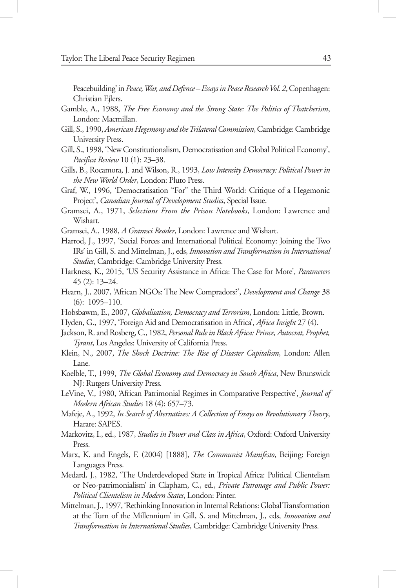Peacebuilding' in *Peace, War, and Defence – Essays in Peace Research Vol. 2*, Copenhagen: Christian Ejlers.

- Gamble, A., 1988, *The Free Economy and the Strong State: The Politics of Thatcherism*, London: Macmillan.
- Gill, S., 1990, *American Hegemony and the Trilateral Commission*, Cambridge: Cambridge University Press.
- Gill, S., 1998, 'New Constitutionalism, Democratisation and Global Political Economy', *Pacifica Review* 10 (1): 23–38.
- Gills, B., Rocamora, J. and Wilson, R., 1993, *Low Intensity Democracy: Political Power in the New World Order*, London: Pluto Press.
- Graf, W., 1996, 'Democratisation "For" the Third World: Critique of a Hegemonic Project', *Canadian Journal of Development Studies*, Special Issue.
- Gramsci, A., 1971, *Selections From the Prison Notebooks*, London: Lawrence and Wishart.
- Gramsci, A., 1988, *A Gramsci Reader*, London: Lawrence and Wishart.
- Harrod, J., 1997, 'Social Forces and International Political Economy: Joining the Two IRs' in Gill, S. and Mittelman, J., eds, *Innovation and Transformation in International Studies*, Cambridge: Cambridge University Press.
- Harkness, K., 2015, 'US Security Assistance in Africa: The Case for More', *Parameters*  45 (2): 13–24.
- Hearn, J., 2007, 'African NGOs: The New Compradors?', *Development and Change* 38 (6): 1095–110.
- Hobsbawm, E., 2007, *Globalisation, Democracy and Terrorism*, London: Little, Brown.
- Hyden, G., 1997, 'Foreign Aid and Democratisation in Africa', *Africa Insight* 27 (4).

Jackson, R. and Rosberg, C., 1982, *Personal Rule in Black Africa: Prince, Autocrat, Prophet, Tyrant*, Los Angeles: University of California Press.

- Klein, N., 2007, *The Shock Doctrine: The Rise of Disaster Capitalism*, London: Allen Lane.
- Koelble, T., 1999, *The Global Economy and Democracy in South Africa*, New Brunswick NJ: Rutgers University Press.
- LeVine, V., 1980, 'African Patrimonial Regimes in Comparative Perspective', *Journal of Modern African Studies* 18 (4): 657–73.
- Mafeje, A., 1992, *In Search of Alternatives: A Collection of Essays on Revolutionary Theory*, Harare: SAPES.
- Markovitz, I., ed., 1987, *Studies in Power and Class in Africa*, Oxford: Oxford University Press.
- Marx, K. and Engels, F. (2004) [1888], *The Communist Manifesto*, Beijing: Foreign Languages Press.
- Medard, J., 1982, 'The Underdeveloped State in Tropical Africa: Political Clientelism or Neo-patrimonialism' in Clapham, C., ed., *Private Patronage and Public Power: Political Clientelism in Modern States*, London: Pinter.
- Mittelman, J., 1997, 'Rethinking Innovation in Internal Relations: Global Transformation at the Turn of the Millennium' in Gill, S. and Mittelman, J., eds, *Innovation and Transformation in International Studies*, Cambridge: Cambridge University Press.